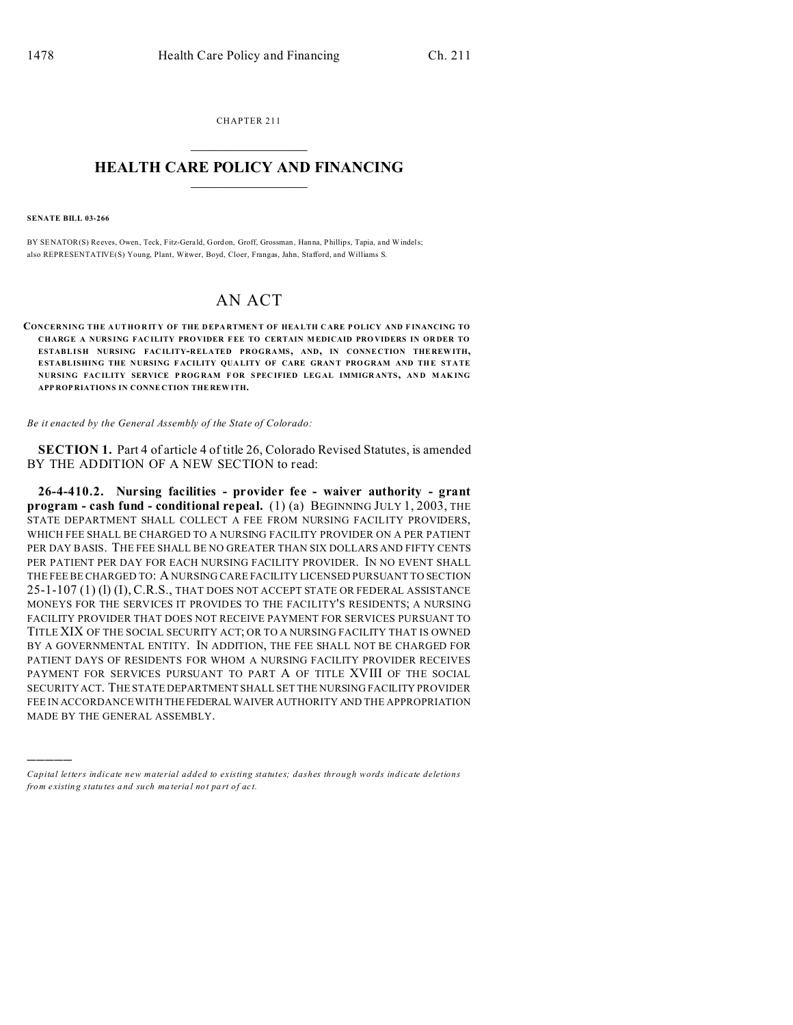CHAPTER 211  $\overline{\phantom{a}}$  , where  $\overline{\phantom{a}}$ 

## **HEALTH CARE POLICY AND FINANCING**  $\_$   $\_$   $\_$   $\_$   $\_$   $\_$   $\_$   $\_$

**SENATE BILL 03-266**

)))))

BY SENATOR(S) Reeves, Owen, Teck, Fitz-Gerald, Gordon, Groff, Grossman , Hanna, Phillips, Tapia, and Windels; also REPRESENTATIVE(S) Young, Plant, Witwer, Boyd, Cloer, Frangas, Jahn, Stafford, and Williams S.

## AN ACT

**CONCERNING THE A UT HORITY OF THE D EPA RTMEN T OF HEA LTH C ARE P OLICY AND F INANCING TO CHARGE A NURS ING FAC ILITY PROVIDER FEE TO CERTAIN MEDICAID PRO VIDERS IN OR DER TO ESTABLISH NURSING FAC ILITY-RELATED PROGRAMS, AND, IN CONNE CTION THE REW ITH, ESTABLISHING THE NURSING FACILITY OUALITY OF CARE GRANT PROGRAM AND THE STATE NURSING FAC ILITY SERVICE P ROG RAM F OR SPEC IFIED LEG AL IMMIGR ANTS, AN D MAK ING APP ROP RIATIONS IN CONNE CTION THE REW ITH.**

*Be it enacted by the General Assembly of the State of Colorado:*

**SECTION 1.** Part 4 of article 4 of title 26, Colorado Revised Statutes, is amended BY THE ADDITION OF A NEW SECTION to read:

**26-4-410.2. Nursing facilities - provider fee - waiver authority - grant program - cash fund - conditional repeal.** (1) (a) BEGINNING JULY 1, 2003, THE STATE DEPARTMENT SHALL COLLECT A FEE FROM NURSING FACILITY PROVIDERS, WHICH FEE SHALL BE CHARGED TO A NURSING FACILITY PROVIDER ON A PER PATIENT PER DAY BASIS. THE FEE SHALL BE NO GREATER THAN SIX DOLLARS AND FIFTY CENTS PER PATIENT PER DAY FOR EACH NURSING FACILITY PROVIDER. IN NO EVENT SHALL THE FEE BE CHARGED TO: A NURSING CARE FACILITY LICENSED PURSUANT TO SECTION 25-1-107 (1) (l) (I), C.R.S., THAT DOES NOT ACCEPT STATE OR FEDERAL ASSISTANCE MONEYS FOR THE SERVICES IT PROVIDES TO THE FACILITY'S RESIDENTS; A NURSING FACILITY PROVIDER THAT DOES NOT RECEIVE PAYMENT FOR SERVICES PURSUANT TO TITLE XIX OF THE SOCIAL SECURITY ACT; OR TO A NURSING FACILITY THAT IS OWNED BY A GOVERNMENTAL ENTITY. IN ADDITION, THE FEE SHALL NOT BE CHARGED FOR PATIENT DAYS OF RESIDENTS FOR WHOM A NURSING FACILITY PROVIDER RECEIVES PAYMENT FOR SERVICES PURSUANT TO PART A OF TITLE XVIII OF THE SOCIAL SECURITY ACT. THE STATE DEPARTMENT SHALL SET THE NURSING FACILITY PROVIDER FEE IN ACCORDANCE WITH THEFEDERAL WAIVER AUTHORITY AND THE APPROPRIATION MADE BY THE GENERAL ASSEMBLY.

*Capital letters indicate new material added to existing statutes; dashes through words indicate deletions from e xistin g statu tes a nd such ma teria l no t pa rt of ac t.*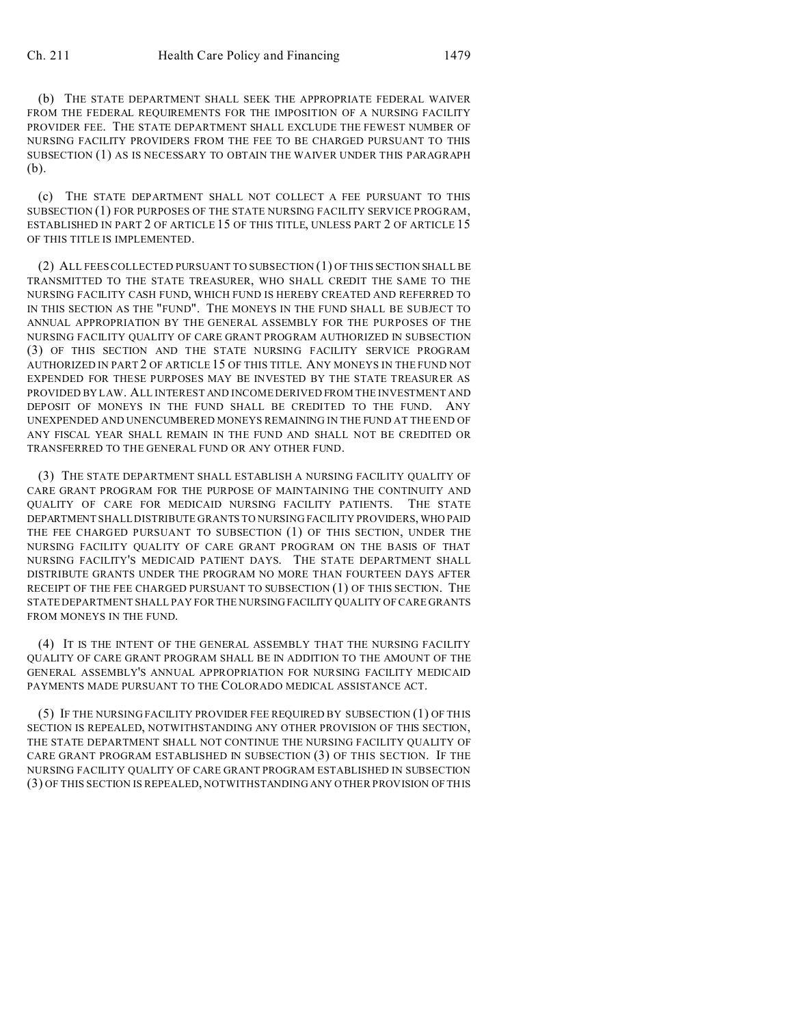(b) THE STATE DEPARTMENT SHALL SEEK THE APPROPRIATE FEDERAL WAIVER FROM THE FEDERAL REQUIREMENTS FOR THE IMPOSITION OF A NURSING FACILITY PROVIDER FEE. THE STATE DEPARTMENT SHALL EXCLUDE THE FEWEST NUMBER OF NURSING FACILITY PROVIDERS FROM THE FEE TO BE CHARGED PURSUANT TO THIS SUBSECTION (1) AS IS NECESSARY TO OBTAIN THE WAIVER UNDER THIS PARAGRAPH (b).

(c) THE STATE DEPARTMENT SHALL NOT COLLECT A FEE PURSUANT TO THIS SUBSECTION (1) FOR PURPOSES OF THE STATE NURSING FACILITY SERVICE PROGRAM, ESTABLISHED IN PART 2 OF ARTICLE 15 OF THIS TITLE, UNLESS PART 2 OF ARTICLE 15 OF THIS TITLE IS IMPLEMENTED.

(2) ALL FEES COLLECTED PURSUANT TO SUBSECTION (1) OF THIS SECTION SHALL BE TRANSMITTED TO THE STATE TREASURER, WHO SHALL CREDIT THE SAME TO THE NURSING FACILITY CASH FUND, WHICH FUND IS HEREBY CREATED AND REFERRED TO IN THIS SECTION AS THE "FUND". THE MONEYS IN THE FUND SHALL BE SUBJECT TO ANNUAL APPROPRIATION BY THE GENERAL ASSEMBLY FOR THE PURPOSES OF THE NURSING FACILITY QUALITY OF CARE GRANT PROGRAM AUTHORIZED IN SUBSECTION (3) OF THIS SECTION AND THE STATE NURSING FACILITY SERVICE PROGRAM AUTHORIZED IN PART 2 OF ARTICLE 15 OF THIS TITLE. ANY MONEYS IN THE FUND NOT EXPENDED FOR THESE PURPOSES MAY BE INVESTED BY THE STATE TREASURER AS PROVIDED BY LAW. ALL INTEREST AND INCOME DERIVED FROM THE INVESTMENT AND DEPOSIT OF MONEYS IN THE FUND SHALL BE CREDITED TO THE FUND. ANY UNEXPENDED AND UNENCUMBERED MONEYS REMAINING IN THE FUND AT THE END OF ANY FISCAL YEAR SHALL REMAIN IN THE FUND AND SHALL NOT BE CREDITED OR TRANSFERRED TO THE GENERAL FUND OR ANY OTHER FUND.

(3) THE STATE DEPARTMENT SHALL ESTABLISH A NURSING FACILITY QUALITY OF CARE GRANT PROGRAM FOR THE PURPOSE OF MAINTAINING THE CONTINUITY AND QUALITY OF CARE FOR MEDICAID NURSING FACILITY PATIENTS. THE STATE DEPARTMENT SHALL DISTRIBUTE GRANTS TO NURSING FACILITY PROVIDERS, WHO PAID THE FEE CHARGED PURSUANT TO SUBSECTION (1) OF THIS SECTION, UNDER THE NURSING FACILITY QUALITY OF CARE GRANT PROGRAM ON THE BASIS OF THAT NURSING FACILITY'S MEDICAID PATIENT DAYS. THE STATE DEPARTMENT SHALL DISTRIBUTE GRANTS UNDER THE PROGRAM NO MORE THAN FOURTEEN DAYS AFTER RECEIPT OF THE FEE CHARGED PURSUANT TO SUBSECTION (1) OF THIS SECTION. THE STATE DEPARTMENT SHALL PAY FOR THE NURSING FACILITY QUALITY OF CARE GRANTS FROM MONEYS IN THE FUND.

(4) IT IS THE INTENT OF THE GENERAL ASSEMBLY THAT THE NURSING FACILITY QUALITY OF CARE GRANT PROGRAM SHALL BE IN ADDITION TO THE AMOUNT OF THE GENERAL ASSEMBLY'S ANNUAL APPROPRIATION FOR NURSING FACILITY MEDICAID PAYMENTS MADE PURSUANT TO THE COLORADO MEDICAL ASSISTANCE ACT.

(5) IF THE NURSING FACILITY PROVIDER FEE REQUIRED BY SUBSECTION (1) OF THIS SECTION IS REPEALED, NOTWITHSTANDING ANY OTHER PROVISION OF THIS SECTION, THE STATE DEPARTMENT SHALL NOT CONTINUE THE NURSING FACILITY QUALITY OF CARE GRANT PROGRAM ESTABLISHED IN SUBSECTION (3) OF THIS SECTION. IF THE NURSING FACILITY QUALITY OF CARE GRANT PROGRAM ESTABLISHED IN SUBSECTION (3) OF THIS SECTION IS REPEALED, NOTWITHSTANDING ANY OTHER PROVISION OF THIS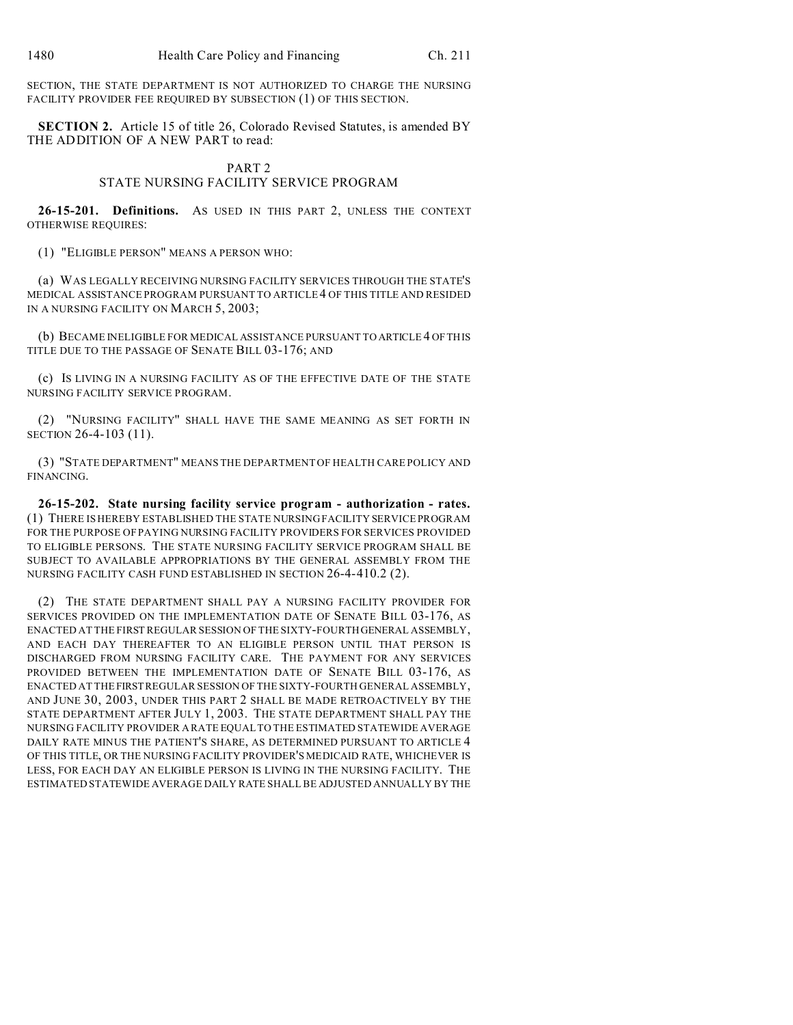SECTION, THE STATE DEPARTMENT IS NOT AUTHORIZED TO CHARGE THE NURSING FACILITY PROVIDER FEE REQUIRED BY SUBSECTION (1) OF THIS SECTION.

**SECTION 2.** Article 15 of title 26, Colorado Revised Statutes, is amended BY THE ADDITION OF A NEW PART to read:

## PART 2

## STATE NURSING FACILITY SERVICE PROGRAM

**26-15-201. Definitions.** AS USED IN THIS PART 2, UNLESS THE CONTEXT OTHERWISE REQUIRES:

(1) "ELIGIBLE PERSON" MEANS A PERSON WHO:

(a) WAS LEGALLY RECEIVING NURSING FACILITY SERVICES THROUGH THE STATE'S MEDICAL ASSISTANCE PROGRAM PURSUANT TO ARTICLE 4 OF THIS TITLE AND RESIDED IN A NURSING FACILITY ON MARCH 5, 2003;

(b) BECAME INELIGIBLE FOR MEDICAL ASSISTANCE PURSUANT TO ARTICLE 4 OF THIS TITLE DUE TO THE PASSAGE OF SENATE BILL 03-176; AND

(c) IS LIVING IN A NURSING FACILITY AS OF THE EFFECTIVE DATE OF THE STATE NURSING FACILITY SERVICE PROGRAM.

(2) "NURSING FACILITY" SHALL HAVE THE SAME MEANING AS SET FORTH IN SECTION 26-4-103 (11).

(3) "STATE DEPARTMENT" MEANS THE DEPARTMENT OF HEALTH CARE POLICY AND FINANCING.

**26-15-202. State nursing facility service program - authorization - rates.** (1) THERE IS HEREBY ESTABLISHED THE STATE NURSING FACILITY SERVICE PROGRAM FOR THE PURPOSE OF PAYING NURSING FACILITY PROVIDERS FOR SERVICES PROVIDED TO ELIGIBLE PERSONS. THE STATE NURSING FACILITY SERVICE PROGRAM SHALL BE SUBJECT TO AVAILABLE APPROPRIATIONS BY THE GENERAL ASSEMBLY FROM THE NURSING FACILITY CASH FUND ESTABLISHED IN SECTION 26-4-410.2 (2).

(2) THE STATE DEPARTMENT SHALL PAY A NURSING FACILITY PROVIDER FOR SERVICES PROVIDED ON THE IMPLEMENTATION DATE OF SENATE BILL 03-176, AS ENACTED AT THE FIRST REGULAR SESSION OF THE SIXTY-FOURTH GENERAL ASSEMBLY, AND EACH DAY THEREAFTER TO AN ELIGIBLE PERSON UNTIL THAT PERSON IS DISCHARGED FROM NURSING FACILITY CARE. THE PAYMENT FOR ANY SERVICES PROVIDED BETWEEN THE IMPLEMENTATION DATE OF SENATE BILL 03-176, AS ENACTED AT THE FIRST REGULAR SESSION OF THE SIXTY-FOURTH GENERAL ASSEMBLY, AND JUNE 30, 2003, UNDER THIS PART 2 SHALL BE MADE RETROACTIVELY BY THE STATE DEPARTMENT AFTER JULY 1, 2003. THE STATE DEPARTMENT SHALL PAY THE NURSING FACILITY PROVIDER A RATE EQUAL TO THE ESTIMATED STATEWIDE AVERAGE DAILY RATE MINUS THE PATIENT'S SHARE, AS DETERMINED PURSUANT TO ARTICLE 4 OF THIS TITLE, OR THE NURSING FACILITY PROVIDER'S MEDICAID RATE, WHICHEVER IS LESS, FOR EACH DAY AN ELIGIBLE PERSON IS LIVING IN THE NURSING FACILITY. THE ESTIMATED STATEWIDE AVERAGE DAILY RATE SHALL BE ADJUSTED ANNUALLY BY THE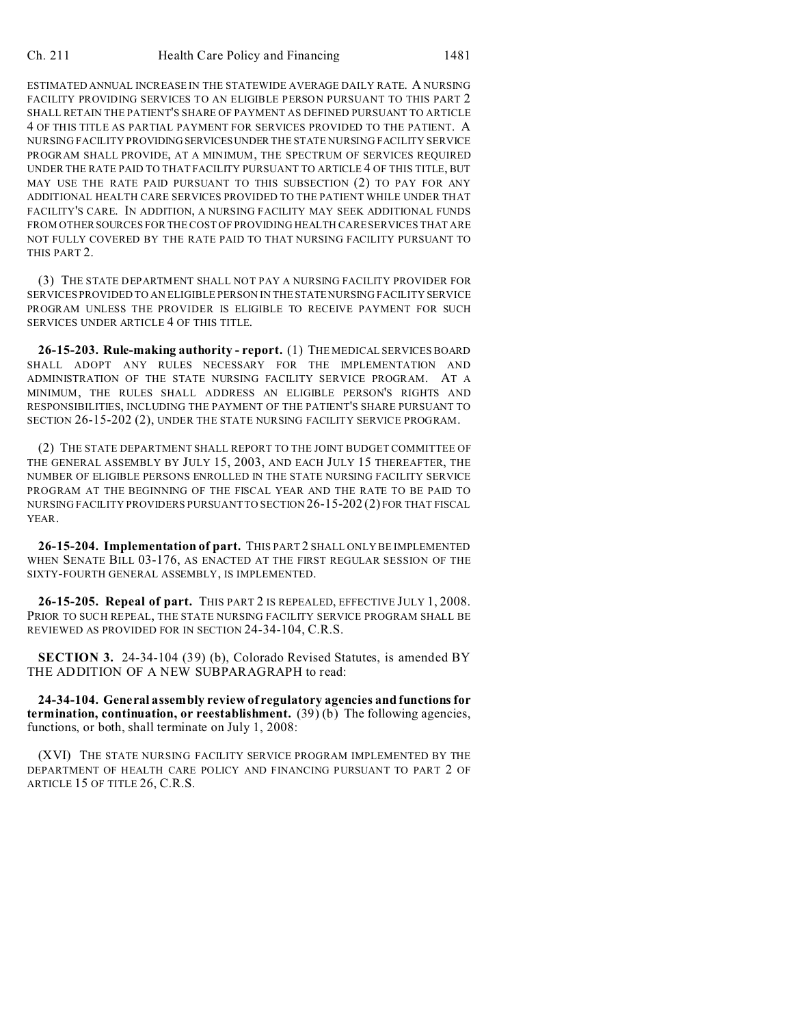ESTIMATED ANNUAL INCREASE IN THE STATEWIDE AVERAGE DAILY RATE. A NURSING FACILITY PROVIDING SERVICES TO AN ELIGIBLE PERSON PURSUANT TO THIS PART 2 SHALL RETAIN THE PATIENT'S SHARE OF PAYMENT AS DEFINED PURSUANT TO ARTICLE 4 OF THIS TITLE AS PARTIAL PAYMENT FOR SERVICES PROVIDED TO THE PATIENT. A NURSING FACILITY PROVIDING SERVICESUNDER THE STATE NURSING FACILITY SERVICE PROGRAM SHALL PROVIDE, AT A MINIMUM, THE SPECTRUM OF SERVICES REQUIRED UNDER THE RATE PAID TO THAT FACILITY PURSUANT TO ARTICLE 4 OF THIS TITLE, BUT MAY USE THE RATE PAID PURSUANT TO THIS SUBSECTION (2) TO PAY FOR ANY ADDITIONAL HEALTH CARE SERVICES PROVIDED TO THE PATIENT WHILE UNDER THAT FACILITY'S CARE. IN ADDITION, A NURSING FACILITY MAY SEEK ADDITIONAL FUNDS FROM OTHERSOURCES FOR THE COST OF PROVIDING HEALTH CARE SERVICES THAT ARE NOT FULLY COVERED BY THE RATE PAID TO THAT NURSING FACILITY PURSUANT TO THIS PART 2.

(3) THE STATE DEPARTMENT SHALL NOT PAY A NURSING FACILITY PROVIDER FOR SERVICES PROVIDED TO AN ELIGIBLE PERSON IN THE STATE NURSING FACILITY SERVICE PROGRAM UNLESS THE PROVIDER IS ELIGIBLE TO RECEIVE PAYMENT FOR SUCH SERVICES UNDER ARTICLE 4 OF THIS TITLE.

**26-15-203. Rule-making authority - report.** (1) THE MEDICAL SERVICES BOARD SHALL ADOPT ANY RULES NECESSARY FOR THE IMPLEMENTATION AND ADMINISTRATION OF THE STATE NURSING FACILITY SERVICE PROGRAM. AT A MINIMUM, THE RULES SHALL ADDRESS AN ELIGIBLE PERSON'S RIGHTS AND RESPONSIBILITIES, INCLUDING THE PAYMENT OF THE PATIENT'S SHARE PURSUANT TO SECTION 26-15-202 (2), UNDER THE STATE NURSING FACILITY SERVICE PROGRAM.

(2) THE STATE DEPARTMENT SHALL REPORT TO THE JOINT BUDGET COMMITTEE OF THE GENERAL ASSEMBLY BY JULY 15, 2003, AND EACH JULY 15 THEREAFTER, THE NUMBER OF ELIGIBLE PERSONS ENROLLED IN THE STATE NURSING FACILITY SERVICE PROGRAM AT THE BEGINNING OF THE FISCAL YEAR AND THE RATE TO BE PAID TO NURSING FACILITY PROVIDERS PURSUANT TO SECTION 26-15-202 (2) FOR THAT FISCAL YEAR.

**26-15-204. Implementation of part.** THIS PART 2 SHALL ONLY BE IMPLEMENTED WHEN SENATE BILL 03-176, AS ENACTED AT THE FIRST REGULAR SESSION OF THE SIXTY-FOURTH GENERAL ASSEMBLY, IS IMPLEMENTED.

**26-15-205. Repeal of part.** THIS PART 2 IS REPEALED, EFFECTIVE JULY 1, 2008. PRIOR TO SUCH REPEAL, THE STATE NURSING FACILITY SERVICE PROGRAM SHALL BE REVIEWED AS PROVIDED FOR IN SECTION 24-34-104, C.R.S.

**SECTION 3.** 24-34-104 (39) (b), Colorado Revised Statutes, is amended BY THE ADDITION OF A NEW SUBPARAGRAPH to read:

**24-34-104. General assembly review of regulatory agencies and functions for termination, continuation, or reestablishment.** (39) (b) The following agencies, functions, or both, shall terminate on July 1, 2008:

(XVI) THE STATE NURSING FACILITY SERVICE PROGRAM IMPLEMENTED BY THE DEPARTMENT OF HEALTH CARE POLICY AND FINANCING PURSUANT TO PART 2 OF ARTICLE 15 OF TITLE 26, C.R.S.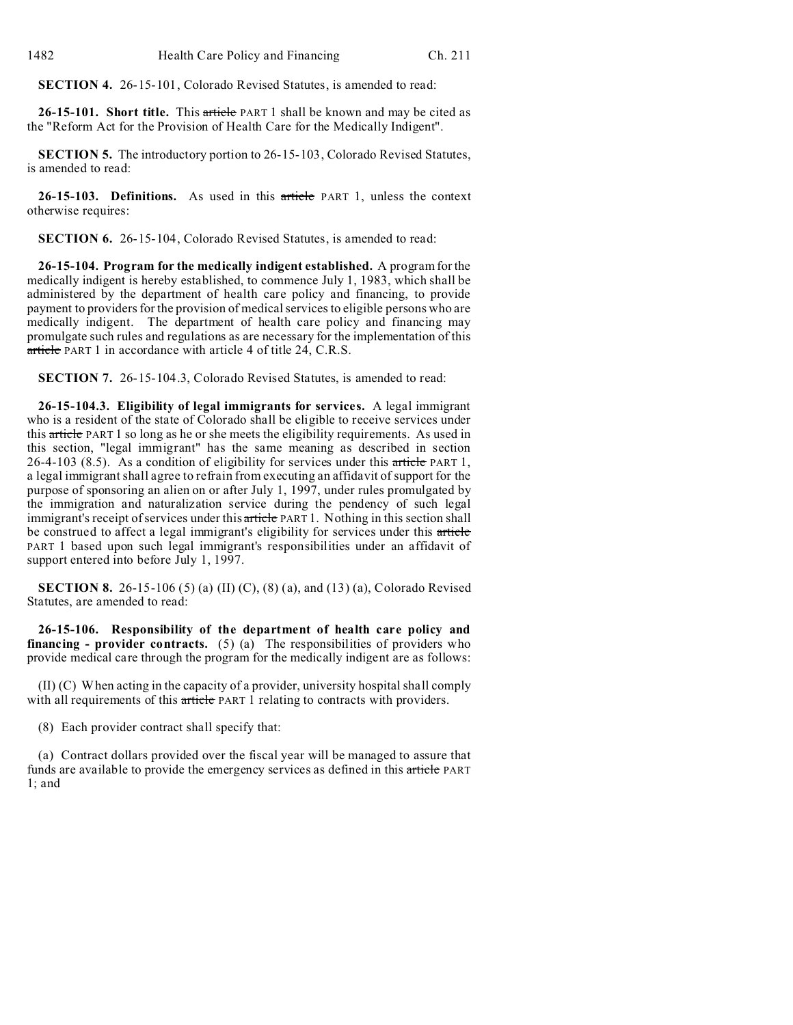**SECTION 4.** 26-15-101, Colorado Revised Statutes, is amended to read:

**26-15-101. Short title.** This article PART 1 shall be known and may be cited as the "Reform Act for the Provision of Health Care for the Medically Indigent".

**SECTION 5.** The introductory portion to 26-15-103, Colorado Revised Statutes, is amended to read:

**26-15-103. Definitions.** As used in this article PART 1, unless the context otherwise requires:

**SECTION 6.** 26-15-104, Colorado Revised Statutes, is amended to read:

**26-15-104. Program for the medically indigent established.** A program for the medically indigent is hereby established, to commence July 1, 1983, which shall be administered by the department of health care policy and financing, to provide payment to providers for the provision of medical services to eligible persons who are medically indigent. The department of health care policy and financing may promulgate such rules and regulations as are necessary for the implementation of this article PART 1 in accordance with article 4 of title 24, C.R.S.

**SECTION 7.** 26-15-104.3, Colorado Revised Statutes, is amended to read:

**26-15-104.3. Eligibility of legal immigrants for services.** A legal immigrant who is a resident of the state of Colorado shall be eligible to receive services under this article PART 1 so long as he or she meets the eligibility requirements. As used in this section, "legal immigrant" has the same meaning as described in section 26-4-103 (8.5). As a condition of eligibility for services under this article PART 1, a legal immigrant shall agree to refrain from executing an affidavit of support for the purpose of sponsoring an alien on or after July 1, 1997, under rules promulgated by the immigration and naturalization service during the pendency of such legal immigrant's receipt of services under this article PART 1. Nothing in this section shall be construed to affect a legal immigrant's eligibility for services under this article PART 1 based upon such legal immigrant's responsibilities under an affidavit of support entered into before July 1, 1997.

**SECTION 8.** 26-15-106 (5) (a) (II) (C), (8) (a), and (13) (a), Colorado Revised Statutes, are amended to read:

**26-15-106. Responsibility of the department of health care policy and financing - provider contracts.** (5) (a) The responsibilities of providers who provide medical care through the program for the medically indigent are as follows:

(II) (C) When acting in the capacity of a provider, university hospital shall comply with all requirements of this article PART 1 relating to contracts with providers.

(8) Each provider contract shall specify that:

(a) Contract dollars provided over the fiscal year will be managed to assure that funds are available to provide the emergency services as defined in this article PART 1; and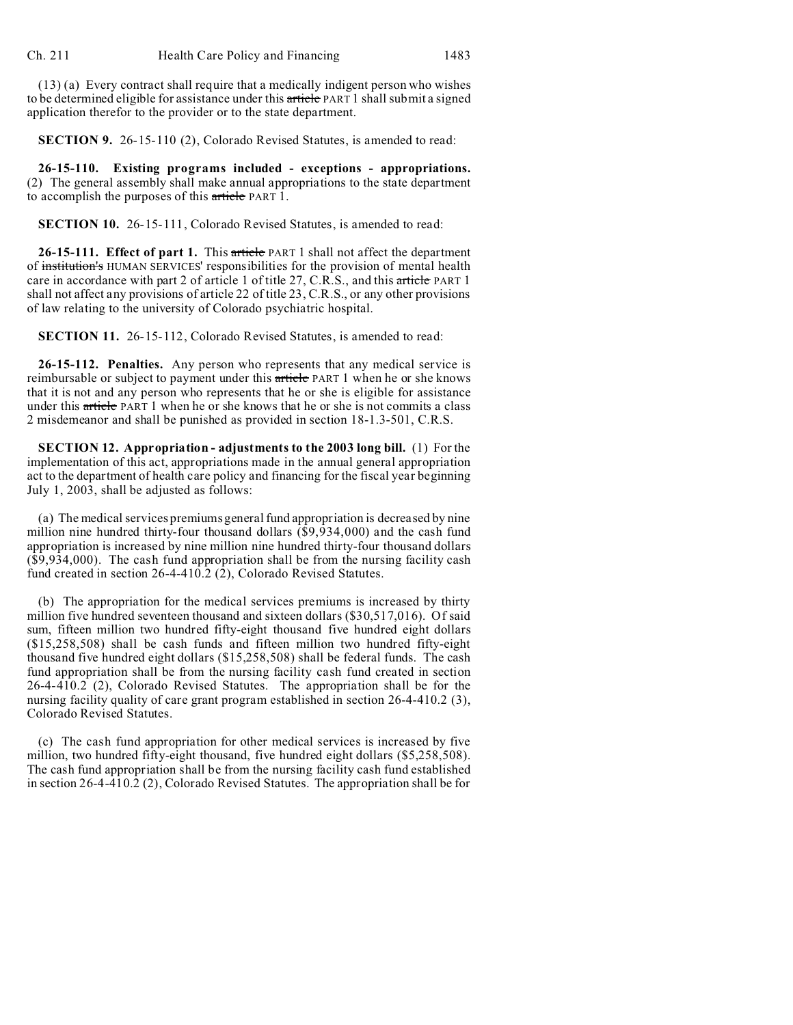(13) (a) Every contract shall require that a medically indigent person who wishes to be determined eligible for assistance under this article PART 1 shall submit a signed application therefor to the provider or to the state department.

**SECTION 9.** 26-15-110 (2), Colorado Revised Statutes, is amended to read:

**26-15-110. Existing programs included - exceptions - appropriations.** (2) The general assembly shall make annual appropriations to the state department to accomplish the purposes of this article PART 1.

**SECTION 10.** 26-15-111, Colorado Revised Statutes, is amended to read:

**26-15-111. Effect of part 1.** This article PART 1 shall not affect the department of institution's HUMAN SERVICES' responsibilities for the provision of mental health care in accordance with part 2 of article 1 of title 27, C.R.S., and this article PART 1 shall not affect any provisions of article 22 of title 23, C.R.S., or any other provisions of law relating to the university of Colorado psychiatric hospital.

**SECTION 11.** 26-15-112, Colorado Revised Statutes, is amended to read:

**26-15-112. Penalties.** Any person who represents that any medical service is reimbursable or subject to payment under this article PART 1 when he or she knows that it is not and any person who represents that he or she is eligible for assistance under this article PART 1 when he or she knows that he or she is not commits a class 2 misdemeanor and shall be punished as provided in section 18-1.3-501, C.R.S.

**SECTION 12. Appropriation - adjustments to the 2003 long bill.** (1) For the implementation of this act, appropriations made in the annual general appropriation act to the department of health care policy and financing for the fiscal year beginning July 1, 2003, shall be adjusted as follows:

(a) The medical services premiums general fund appropriation is decreased by nine million nine hundred thirty-four thousand dollars (\$9,934,000) and the cash fund appropriation is increased by nine million nine hundred thirty-four thousand dollars (\$9,934,000). The cash fund appropriation shall be from the nursing facility cash fund created in section 26-4-410.2 (2), Colorado Revised Statutes.

(b) The appropriation for the medical services premiums is increased by thirty million five hundred seventeen thousand and sixteen dollars (\$30,517,016). Of said sum, fifteen million two hundred fifty-eight thousand five hundred eight dollars (\$15,258,508) shall be cash funds and fifteen million two hundred fifty-eight thousand five hundred eight dollars (\$15,258,508) shall be federal funds. The cash fund appropriation shall be from the nursing facility cash fund created in section 26-4-410.2 (2), Colorado Revised Statutes. The appropriation shall be for the nursing facility quality of care grant program established in section 26-4-410.2 (3), Colorado Revised Statutes.

(c) The cash fund appropriation for other medical services is increased by five million, two hundred fifty-eight thousand, five hundred eight dollars (\$5,258,508). The cash fund appropriation shall be from the nursing facility cash fund established in section 26-4-410.2 (2), Colorado Revised Statutes. The appropriation shall be for